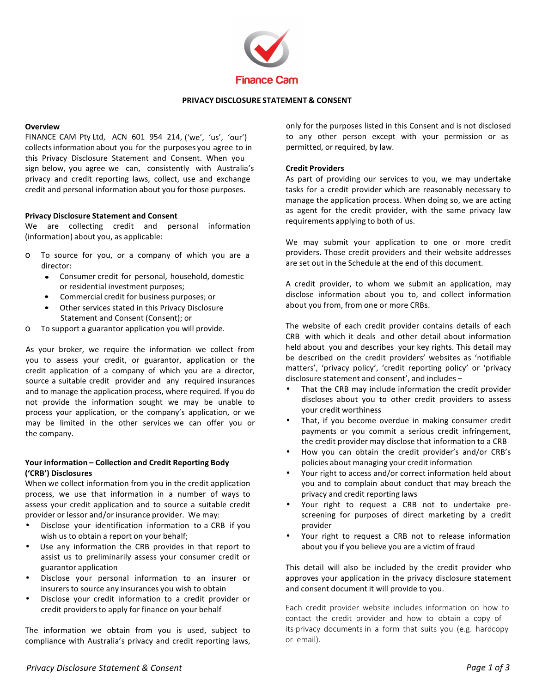

# **PRIVACY DISCLOSURE STATEMENT & CONSENT**

#### **Overview**

FINANCE CAM Pty Ltd, ACN 601 954 214, ('we', 'us', 'our') collects information about you for the purposes you agree to in this Privacy Disclosure Statement and Consent. When you sign below, you agree we can, consistently with Australia's privacy and credit reporting laws, collect, use and exchange credit and personal information about you for those purposes.

### **Privacy Disclosure Statement and Consent**

We are collecting credit and personal information (information) about you, as applicable:

- o To source for you, or a company of which you are a director:
	- Consumer credit for personal, household, domestic or residential investment purposes;
	- Commercial credit for business purposes; or
	- Other services stated in this Privacy Disclosure Statement and Consent (Consent); or
- To support a guarantor application you will provide.  $\circ$

As your broker, we require the information we collect from you to assess your credit, or guarantor, application or the credit application of a company of which you are a director, source a suitable credit provider and any required insurances and to manage the application process, where required. If you do not provide the information sought we may be unable to process your application, or the company's application, or we may be limited in the other services we can offer you or the company.

### Your information - Collection and Credit Reporting Body ('CRB') Disclosures

When we collect information from you in the credit application process, we use that information in a number of ways to assess your credit application and to source a suitable credit provider or lessor and/or insurance provider. We may:

- Disclose your identification information to a CRB if you wish us to obtain a report on your behalf;
- Use any information the CRB provides in that report to  $\bullet$ assist us to preliminarily assess your consumer credit or guarantor application
- $\bullet$ Disclose your personal information to an insurer or insurers to source any insurances you wish to obtain
- Disclose your credit information to a credit provider or  $\bullet$ credit providers to apply for finance on your behalf

The information we obtain from you is used, subject to compliance with Australia's privacy and credit reporting laws, only for the purposes listed in this Consent and is not disclosed to any other person except with your permission or as permitted, or required, by law.

#### **Credit Providers**

As part of providing our services to you, we may undertake tasks for a credit provider which are reasonably necessary to manage the application process. When doing so, we are acting as agent for the credit provider, with the same privacy law requirements applying to both of us.

We may submit your application to one or more credit providers. Those credit providers and their website addresses are set out in the Schedule at the end of this document.

A credit provider, to whom we submit an application, may disclose information about you to, and collect information about you from, from one or more CRBs.

The website of each credit provider contains details of each CRB with which it deals and other detail about information held about you and describes your key rights. This detail may be described on the credit providers' websites as 'notifiable matters', 'privacy policy', 'credit reporting policy' or 'privacy disclosure statement and consent', and includes -

- That the CRB may include information the credit provider discloses about you to other credit providers to assess your credit worthiness
- That, if you become overdue in making consumer credit payments or you commit a serious credit infringement, the credit provider may disclose that information to a CRB
- How you can obtain the credit provider's and/or CRB's policies about managing your credit information
- Your right to access and/or correct information held about you and to complain about conduct that may breach the privacy and credit reporting laws
- Your right to request a CRB not to undertake prescreening for purposes of direct marketing by a credit provider
- Your right to request a CRB not to release information about you if you believe you are a victim of fraud

This detail will also be included by the credit provider who approves your application in the privacy disclosure statement and consent document it will provide to you.

Each credit provider website includes information on how to contact the credit provider and how to obtain a copy of its privacy documents in a form that suits you (e.g. hardcopy or email).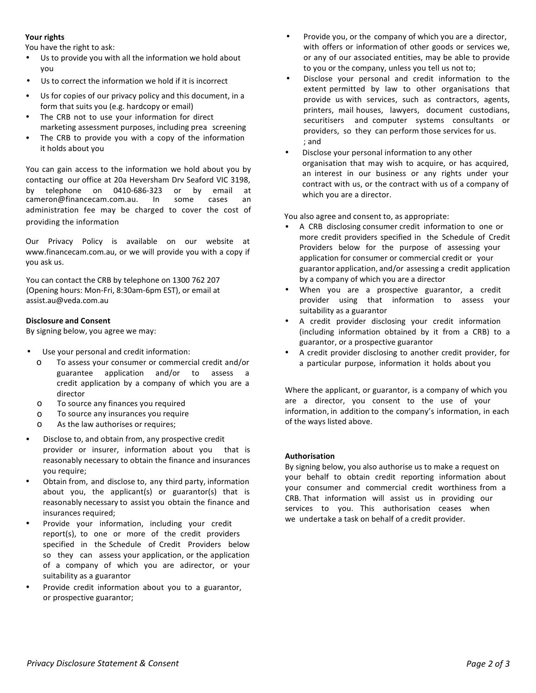# **Your rights**

You have the right to ask:

- Us to provide you with all the information we hold about you
- Us to correct the information we hold if it is incorrect
- Us for copies of our privacy policy and this document, in a form that suits you (e.g. hardcopy or email)
- The CRB not to use your information for direct marketing assessment purposes, including prea screening
- The CRB to provide you with a copy of the information it holds about you

You can gain access to the information we hold about you by contacting our office at 20a Heversham Drv Seaford VIC 3198, by telephone on 0410-686-323 or by email at cameron@financecam.com.au. In some cases an administration fee may be charged to cover the cost of providing the information

Our Privacy Policy is available on our website at www.financecam.com.au, or we will provide you with a copy if you ask us.

You can contact the CRB by telephone on 1300 762 207 (Opening hours: Mon-Fri, 8:30am-6pm EST), or email at assist.au@veda.com.au

### **Disclosure and Consent**

By signing below, you agree we may:

- Use your personal and credit information:
	- o To assess your consumer or commercial credit and/or guarantee application and/or to assess a credit application by a company of which you are a director
	- o To source any finances you required
	- o To source any insurances you require
	- As the law authorises or requires;
- Disclose to, and obtain from, any prospective credit provider or insurer, information about you that is reasonably necessary to obtain the finance and insurances you require;
- Obtain from, and disclose to, any third party, information about you, the applicant(s) or guarantor(s) that is reasonably necessary to assist you obtain the finance and insurances required;
- Provide your information, including your credit report(s), to one or more of the credit providers specified in the Schedule of Credit Providers below so they can assess your application, or the application of a company of which you are adirector, or your suitability as a guarantor
- Provide credit information about you to a guarantor, or prospective guarantor;
- Provide you, or the company of which you are a director, with offers or information of other goods or services we, or any of our associated entities, may be able to provide to you or the company, unless you tell us not to;
- Disclose your personal and credit information to the extent permitted by law to other organisations that provide us with services, such as contractors, agents, printers, mail houses, lawyers, document custodians, securitisers and computer systems consultants or providers, so they can perform those services for us. ; and
- Disclose your personal information to any other organisation that may wish to acquire, or has acquired, an interest in our business or any rights under your contract with us, or the contract with us of a company of which you are a director.

You also agree and consent to, as appropriate:

- A CRB disclosing consumer credit information to one or more credit providers specified in the Schedule of Credit Providers below for the purpose of assessing your application for consumer or commercial credit or your guarantor application, and/or assessing a credit application by a company of which you are a director
- When you are a prospective guarantor, a credit provider using that information to assess your suitability as a guarantor
- A credit provider disclosing your credit information (including information obtained by it from a CRB) to a guarantor, or a prospective guarantor
- A credit provider disclosing to another credit provider, for a particular purpose, information it holds about you

Where the applicant, or guarantor, is a company of which you are a director, you consent to the use of your information, in addition to the company's information, in each of the ways listed above.

#### **Authorisation**

By signing below, you also authorise us to make a request on your behalf to obtain credit reporting information about your consumer and commercial credit worthiness from a CRB. That information will assist us in providing our services to you. This authorisation ceases when we undertake a task on behalf of a credit provider.